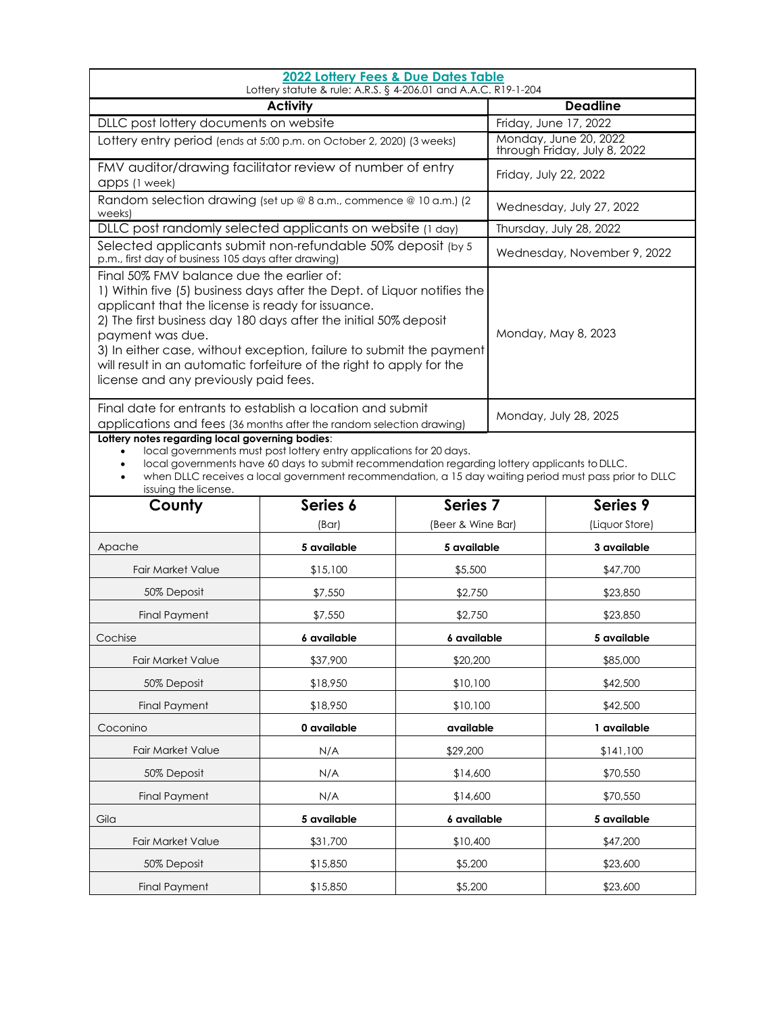| 2022 Lottery Fees & Due Dates Table<br>Lottery statute & rule: A.R.S. § 4-206.01 and A.A.C. R19-1-204                                                                                                                                                                                                                                                                                                                                                     |                                        |                                                       |                          |                |  |  |  |
|-----------------------------------------------------------------------------------------------------------------------------------------------------------------------------------------------------------------------------------------------------------------------------------------------------------------------------------------------------------------------------------------------------------------------------------------------------------|----------------------------------------|-------------------------------------------------------|--------------------------|----------------|--|--|--|
| <b>Activity</b>                                                                                                                                                                                                                                                                                                                                                                                                                                           |                                        |                                                       | <b>Deadline</b>          |                |  |  |  |
|                                                                                                                                                                                                                                                                                                                                                                                                                                                           | DLLC post lottery documents on website |                                                       | Friday, June 17, 2022    |                |  |  |  |
| Lottery entry period (ends at 5:00 p.m. on October 2, 2020) (3 weeks)                                                                                                                                                                                                                                                                                                                                                                                     |                                        | Monday, June 20, 2022<br>through Friday, July 8, 2022 |                          |                |  |  |  |
| FMV auditor/drawing facilitator review of number of entry<br>apps (1 week)                                                                                                                                                                                                                                                                                                                                                                                |                                        |                                                       | Friday, July 22, 2022    |                |  |  |  |
| Random selection drawing (set up @ 8 a.m., commence @ 10 a.m.) (2<br>weeks)                                                                                                                                                                                                                                                                                                                                                                               |                                        |                                                       | Wednesday, July 27, 2022 |                |  |  |  |
| DLLC post randomly selected applicants on website (1 day)                                                                                                                                                                                                                                                                                                                                                                                                 |                                        | Thursday, July 28, 2022                               |                          |                |  |  |  |
| Selected applicants submit non-refundable 50% deposit (by 5<br>p.m., first day of business 105 days after drawing)                                                                                                                                                                                                                                                                                                                                        |                                        | Wednesday, November 9, 2022                           |                          |                |  |  |  |
| Final 50% FMV balance due the earlier of:<br>1) Within five (5) business days after the Dept. of Liquor notifies the<br>applicant that the license is ready for issuance.<br>2) The first business day 180 days after the initial 50% deposit<br>payment was due.<br>3) In either case, without exception, failure to submit the payment<br>will result in an automatic forfeiture of the right to apply for the<br>license and any previously paid fees. |                                        | Monday, May 8, 2023                                   |                          |                |  |  |  |
| Final date for entrants to establish a location and submit<br>applications and fees (36 months after the random selection drawing)                                                                                                                                                                                                                                                                                                                        |                                        | Monday, July 28, 2025                                 |                          |                |  |  |  |
| Lottery notes regarding local governing bodies:<br>local governments must post lottery entry applications for 20 days.<br>local governments have 60 days to submit recommendation regarding lottery applicants to DLLC.<br>when DLLC receives a local government recommendation, a 15 day waiting period must pass prior to DLLC<br>issuing the license.                                                                                                  |                                        |                                                       |                          |                |  |  |  |
| County                                                                                                                                                                                                                                                                                                                                                                                                                                                    | Series 6                               | Series <sub>7</sub>                                   |                          | Series 9       |  |  |  |
|                                                                                                                                                                                                                                                                                                                                                                                                                                                           | (Bar)                                  | (Beer & Wine Bar)                                     |                          | (Liquor Store) |  |  |  |
| Apache                                                                                                                                                                                                                                                                                                                                                                                                                                                    | 5 available                            | 5 available                                           |                          | 3 available    |  |  |  |
| <b>Fair Market Value</b>                                                                                                                                                                                                                                                                                                                                                                                                                                  | \$15,100                               | \$5,500                                               |                          | \$47,700       |  |  |  |
| 50% Deposit                                                                                                                                                                                                                                                                                                                                                                                                                                               | \$7,550                                | \$2,750                                               |                          | \$23,850       |  |  |  |
| <b>Final Payment</b>                                                                                                                                                                                                                                                                                                                                                                                                                                      | \$7,550                                | \$2,750                                               |                          | \$23,850       |  |  |  |
| Cochise                                                                                                                                                                                                                                                                                                                                                                                                                                                   | 6 available                            | 6 available                                           |                          | 5 available    |  |  |  |
| <b>Fair Market Value</b>                                                                                                                                                                                                                                                                                                                                                                                                                                  | \$37,900                               | \$20,200                                              |                          | \$85,000       |  |  |  |
| 50% Deposit                                                                                                                                                                                                                                                                                                                                                                                                                                               | \$18,950                               | \$10,100                                              |                          | \$42,500       |  |  |  |
| <b>Final Payment</b>                                                                                                                                                                                                                                                                                                                                                                                                                                      | \$18,950                               | \$10,100                                              |                          | \$42,500       |  |  |  |
| Coconino                                                                                                                                                                                                                                                                                                                                                                                                                                                  | 0 available                            | available                                             |                          | 1 available    |  |  |  |

Fair Market Value **N/A**  $\frac{1}{29,200}$  \$141,100 50% Deposit N/A \$14,600 \$70,550 Final Payment **N/A**  $N/A$  \$14,600 \$70,550

Gila **5 available 5 available 6 available** 5 available 5 available

Fair Market Value \$31,700 \$10,400 \$47,200 50% Deposit \$15,850 \$23,600 Final Payment **\$15,850** \$15,850 \$5,200 \$23,600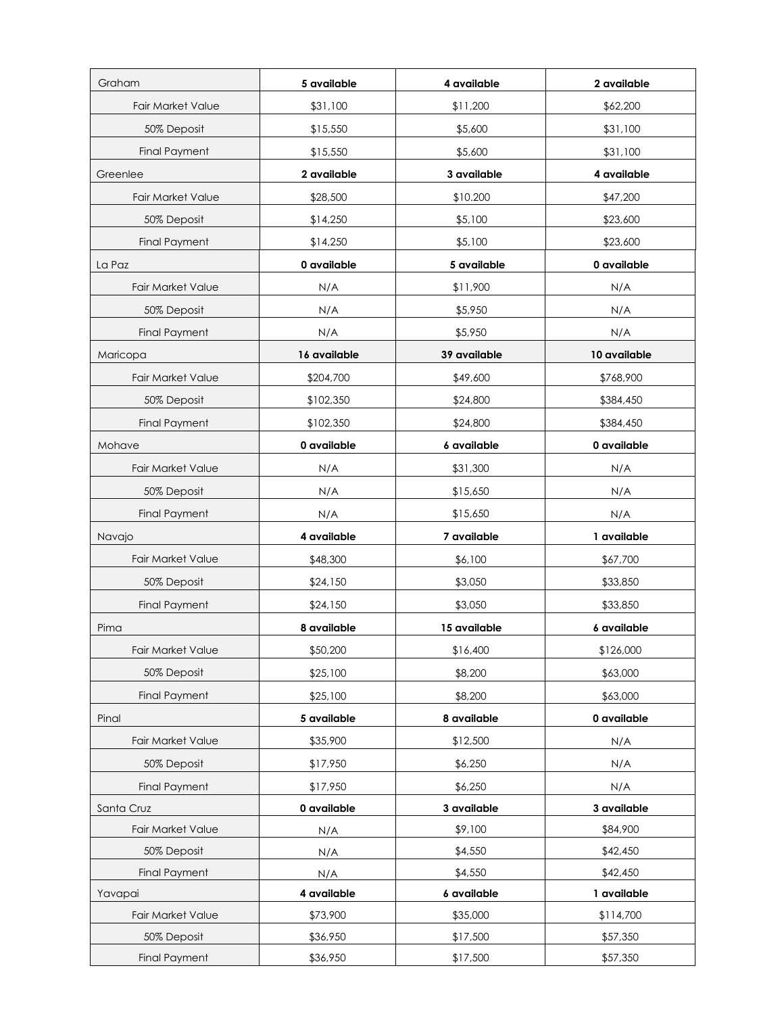| Graham                   | 5 available  | 4 available  | 2 available  |
|--------------------------|--------------|--------------|--------------|
| <b>Fair Market Value</b> | \$31,100     | \$11,200     | \$62,200     |
| 50% Deposit              | \$15,550     | \$5,600      | \$31,100     |
| <b>Final Payment</b>     | \$15,550     | \$5,600      | \$31,100     |
| Greenlee                 | 2 available  | 3 available  | 4 available  |
| <b>Fair Market Value</b> | \$28,500     | \$10.200     | \$47,200     |
| 50% Deposit              | \$14,250     | \$5,100      | \$23,600     |
| <b>Final Payment</b>     | \$14,250     | \$5,100      | \$23,600     |
| La Paz                   | 0 available  | 5 available  | 0 available  |
| <b>Fair Market Value</b> | N/A          | \$11,900     | N/A          |
| 50% Deposit              | N/A          | \$5,950      | N/A          |
| <b>Final Payment</b>     | N/A          | \$5,950      | N/A          |
| Maricopa                 | 16 available | 39 available | 10 available |
| <b>Fair Market Value</b> | \$204,700    | \$49,600     | \$768,900    |
| 50% Deposit              | \$102,350    | \$24,800     | \$384,450    |
| <b>Final Payment</b>     | \$102,350    | \$24,800     | \$384,450    |
| Mohave                   | 0 available  | 6 available  | 0 available  |
| <b>Fair Market Value</b> | N/A          | \$31,300     | N/A          |
| 50% Deposit              | N/A          | \$15,650     | N/A          |
| <b>Final Payment</b>     | N/A          | \$15,650     | N/A          |
| Navajo                   | 4 available  | 7 available  | 1 available  |
| <b>Fair Market Value</b> | \$48,300     | \$6,100      | \$67,700     |
| 50% Deposit              | \$24,150     | \$3,050      | \$33,850     |
| <b>Final Payment</b>     | \$24,150     | \$3,050      | \$33,850     |
| Pima                     | 8 available  | 15 available | 6 available  |
| Fair Market Value        | \$50,200     | \$16,400     | \$126,000    |
| 50% Deposit              | \$25,100     | \$8,200      | \$63,000     |
| <b>Final Payment</b>     | \$25,100     | \$8,200      | \$63,000     |
| Pinal                    | 5 available  | 8 available  | 0 available  |
| <b>Fair Market Value</b> | \$35,900     | \$12,500     | N/A          |
| 50% Deposit              | \$17,950     | \$6,250      | N/A          |
| <b>Final Payment</b>     | \$17,950     | \$6,250      | N/A          |
| Santa Cruz               | 0 available  | 3 available  | 3 available  |
| Fair Market Value        | N/A          | \$9,100      | \$84,900     |
| 50% Deposit              | N/A          | \$4,550      | \$42,450     |
| <b>Final Payment</b>     | N/A          | \$4,550      | \$42,450     |
| Yavapai                  | 4 available  | 6 available  | 1 available  |
| Fair Market Value        | \$73,900     | \$35,000     | \$114,700    |
| 50% Deposit              | \$36,950     | \$17,500     | \$57,350     |
| <b>Final Payment</b>     | \$36,950     | \$17,500     | \$57,350     |